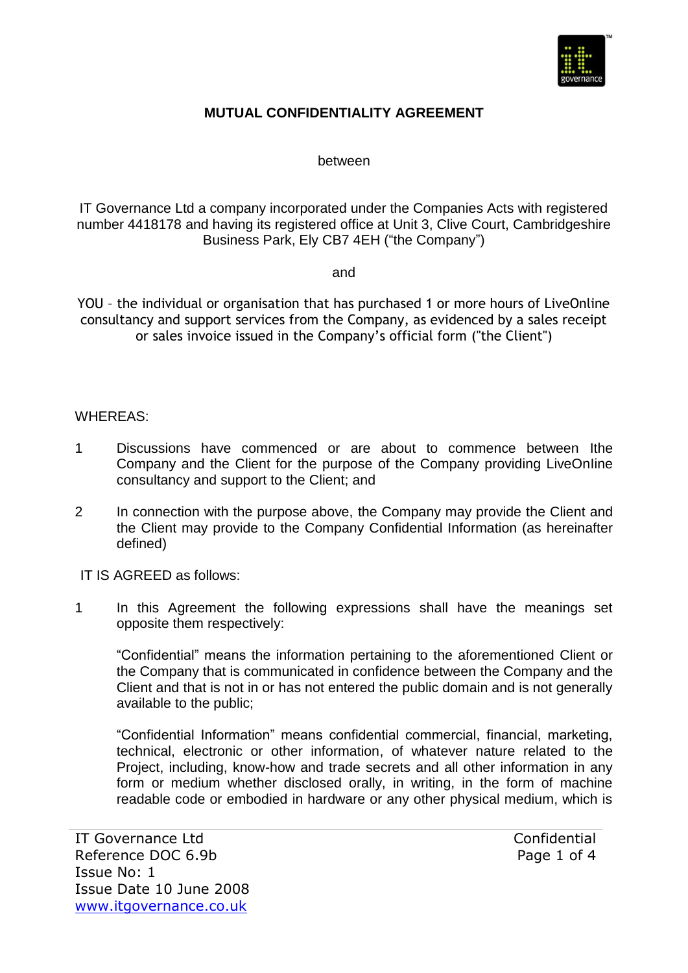

## **MUTUAL CONFIDENTIALITY AGREEMENT**

between

IT Governance Ltd a company incorporated under the Companies Acts with registered number 4418178 and having its registered office at Unit 3, Clive Court, Cambridgeshire Business Park, Ely CB7 4EH ("the Company")

and

YOU – the individual or organisation that has purchased 1 or more hours of LiveOnline consultancy and support services from the Company, as evidenced by a sales receipt or sales invoice issued in the Company's official form ("the Client")

## WHEREAS:

- 1 Discussions have commenced or are about to commence between Ithe Company and the Client for the purpose of the Company providing LiveOnIine consultancy and support to the Client; and
- 2 In connection with the purpose above, the Company may provide the Client and the Client may provide to the Company Confidential Information (as hereinafter defined)

IT IS AGREED as follows:

1 In this Agreement the following expressions shall have the meanings set opposite them respectively:

"Confidential" means the information pertaining to the aforementioned Client or the Company that is communicated in confidence between the Company and the Client and that is not in or has not entered the public domain and is not generally available to the public;

"Confidential Information" means confidential commercial, financial, marketing, technical, electronic or other information, of whatever nature related to the Project, including, know-how and trade secrets and all other information in any form or medium whether disclosed orally, in writing, in the form of machine readable code or embodied in hardware or any other physical medium, which is

Confidential Page 1 of 4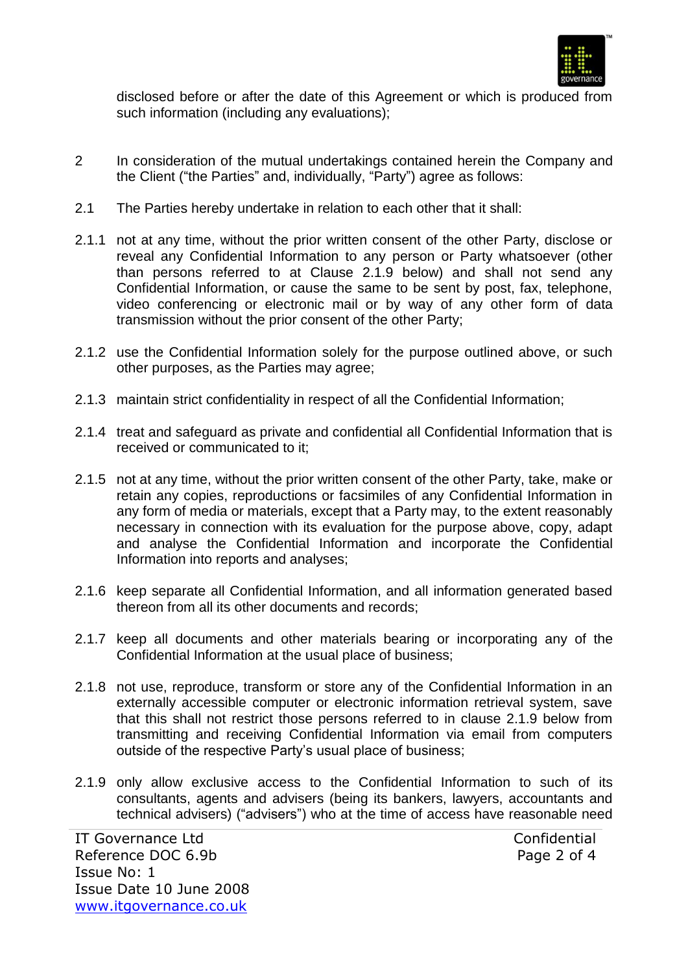

disclosed before or after the date of this Agreement or which is produced from such information (including any evaluations);

- 2 In consideration of the mutual undertakings contained herein the Company and the Client ("the Parties" and, individually, "Party") agree as follows:
- 2.1 The Parties hereby undertake in relation to each other that it shall:
- 2.1.1 not at any time, without the prior written consent of the other Party, disclose or reveal any Confidential Information to any person or Party whatsoever (other than persons referred to at Clause 2.1.9 below) and shall not send any Confidential Information, or cause the same to be sent by post, fax, telephone, video conferencing or electronic mail or by way of any other form of data transmission without the prior consent of the other Party;
- 2.1.2 use the Confidential Information solely for the purpose outlined above, or such other purposes, as the Parties may agree;
- 2.1.3 maintain strict confidentiality in respect of all the Confidential Information;
- 2.1.4 treat and safeguard as private and confidential all Confidential Information that is received or communicated to it;
- 2.1.5 not at any time, without the prior written consent of the other Party, take, make or retain any copies, reproductions or facsimiles of any Confidential Information in any form of media or materials, except that a Party may, to the extent reasonably necessary in connection with its evaluation for the purpose above, copy, adapt and analyse the Confidential Information and incorporate the Confidential Information into reports and analyses;
- 2.1.6 keep separate all Confidential Information, and all information generated based thereon from all its other documents and records;
- 2.1.7 keep all documents and other materials bearing or incorporating any of the Confidential Information at the usual place of business;
- 2.1.8 not use, reproduce, transform or store any of the Confidential Information in an externally accessible computer or electronic information retrieval system, save that this shall not restrict those persons referred to in clause 2.1.9 below from transmitting and receiving Confidential Information via email from computers outside of the respective Party's usual place of business;
- 2.1.9 only allow exclusive access to the Confidential Information to such of its consultants, agents and advisers (being its bankers, lawyers, accountants and technical advisers) ("advisers") who at the time of access have reasonable need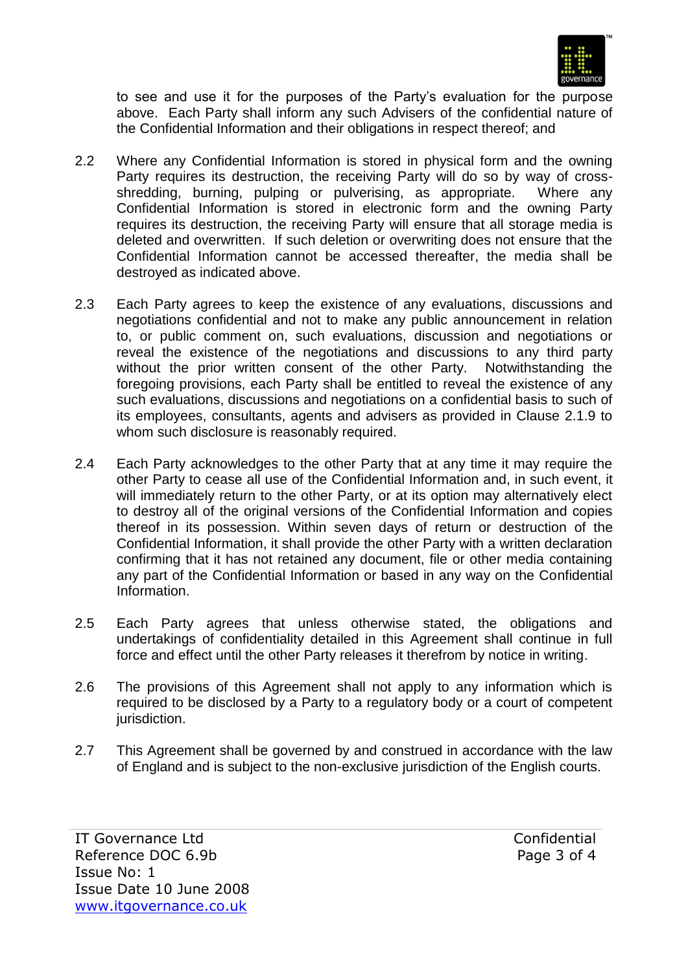

to see and use it for the purposes of the Party's evaluation for the purpose above. Each Party shall inform any such Advisers of the confidential nature of the Confidential Information and their obligations in respect thereof; and

- 2.2 Where any Confidential Information is stored in physical form and the owning Party requires its destruction, the receiving Party will do so by way of crossshredding, burning, pulping or pulverising, as appropriate. Where any Confidential Information is stored in electronic form and the owning Party requires its destruction, the receiving Party will ensure that all storage media is deleted and overwritten. If such deletion or overwriting does not ensure that the Confidential Information cannot be accessed thereafter, the media shall be destroyed as indicated above.
- 2.3 Each Party agrees to keep the existence of any evaluations, discussions and negotiations confidential and not to make any public announcement in relation to, or public comment on, such evaluations, discussion and negotiations or reveal the existence of the negotiations and discussions to any third party without the prior written consent of the other Party. Notwithstanding the foregoing provisions, each Party shall be entitled to reveal the existence of any such evaluations, discussions and negotiations on a confidential basis to such of its employees, consultants, agents and advisers as provided in Clause 2.1.9 to whom such disclosure is reasonably required.
- 2.4 Each Party acknowledges to the other Party that at any time it may require the other Party to cease all use of the Confidential Information and, in such event, it will immediately return to the other Party, or at its option may alternatively elect to destroy all of the original versions of the Confidential Information and copies thereof in its possession. Within seven days of return or destruction of the Confidential Information, it shall provide the other Party with a written declaration confirming that it has not retained any document, file or other media containing any part of the Confidential Information or based in any way on the Confidential **Information**
- 2.5 Each Party agrees that unless otherwise stated, the obligations and undertakings of confidentiality detailed in this Agreement shall continue in full force and effect until the other Party releases it therefrom by notice in writing.
- 2.6 The provisions of this Agreement shall not apply to any information which is required to be disclosed by a Party to a regulatory body or a court of competent jurisdiction.
- 2.7 This Agreement shall be governed by and construed in accordance with the law of England and is subject to the non-exclusive jurisdiction of the English courts.